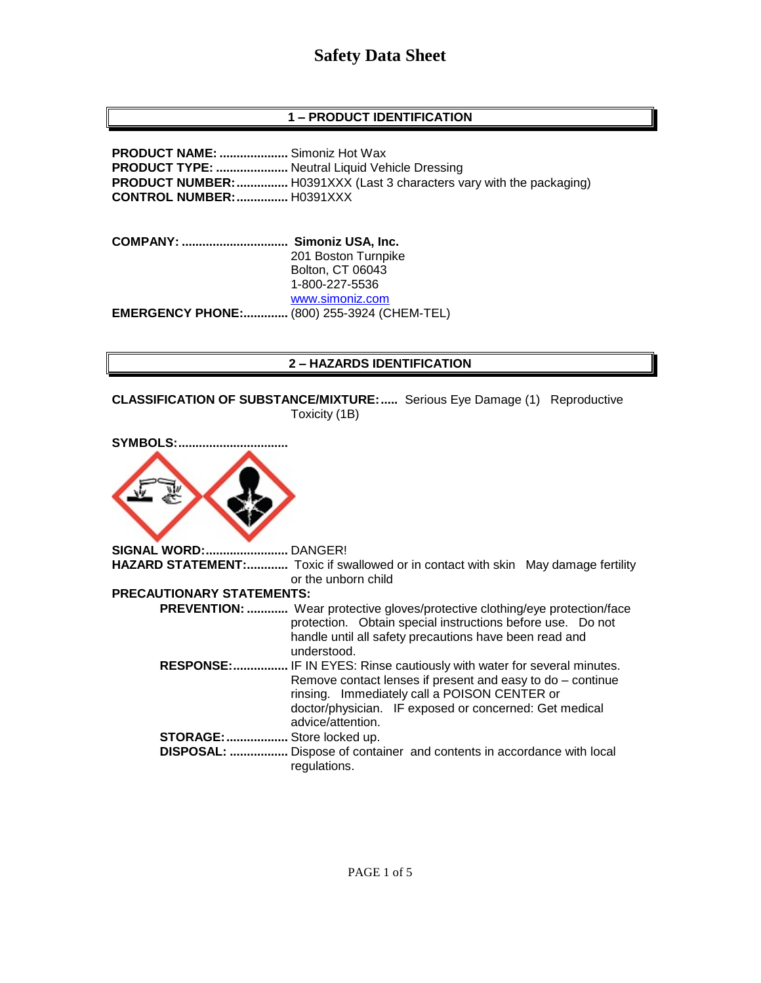# **1 – PRODUCT IDENTIFICATION**

**PRODUCT NAME: ....................** Simoniz Hot Wax **PRODUCT TYPE: .....................** Neutral Liquid Vehicle Dressing **PRODUCT NUMBER:...............** H0391XXX (Last 3 characters vary with the packaging) **CONTROL NUMBER:...............** H0391XXX

**COMPANY: ............................... Simoniz USA, Inc.** 201 Boston Turnpike Bolton, CT 06043 1-800-227-5536 [www.simoniz.com](http://www.simoniz.com/) **EMERGENCY PHONE:.............** (800) 255-3924 (CHEM-TEL)

### **2 – HAZARDS IDENTIFICATION**

**CLASSIFICATION OF SUBSTANCE/MIXTURE:.....** Serious Eye Damage (1) Reproductive Toxicity (1B)



**SIGNAL WORD:........................** DANGER! **HAZARD STATEMENT:............** Toxic if swallowed or in contact with skin May damage fertility or the unborn child **PRECAUTIONARY STATEMENTS: PREVENTION: ............** Wear protective gloves/protective clothing/eye protection/face protection. Obtain special instructions before use. Do not handle until all safety precautions have been read and

- understood.  **RESPONSE:................** IF IN EYES: Rinse cautiously with water for several minutes. Remove contact lenses if present and easy to do – continue rinsing. Immediately call a POISON CENTER or doctor/physician. IF exposed or concerned: Get medical advice/attention. **STORAGE:..................** Store locked up.
- **DISPOSAL: .................** Dispose of container and contents in accordance with local regulations.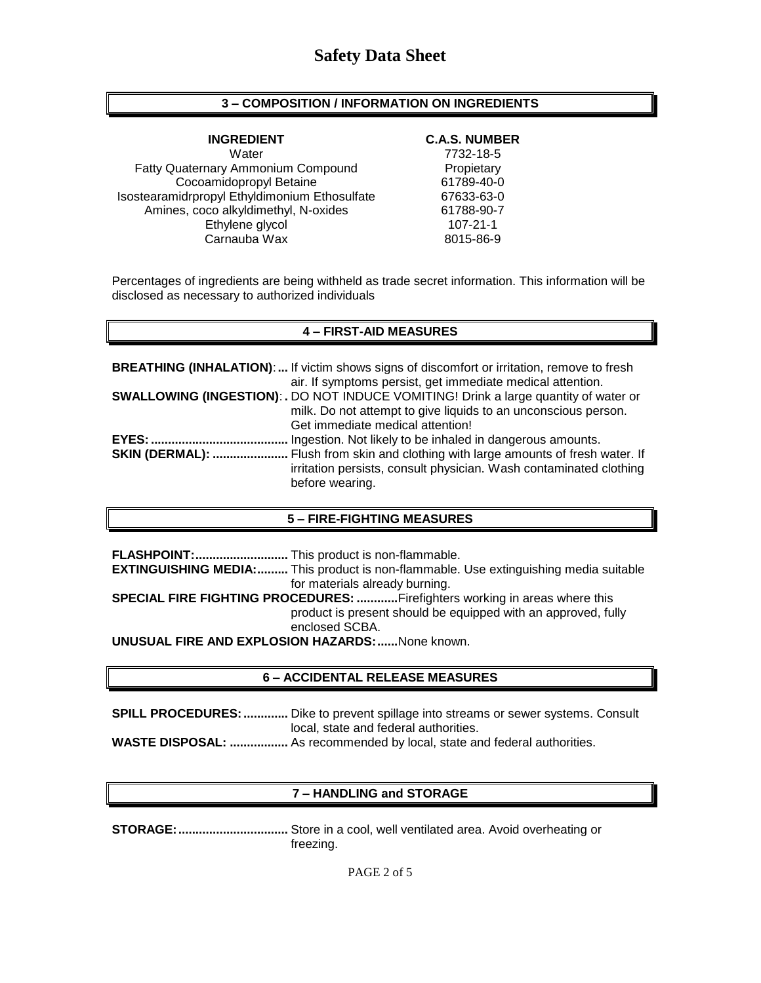## **3 – COMPOSITION / INFORMATION ON INGREDIENTS**

Water 7732-18-5 Fatty Quaternary Ammonium Compound Propietary Cocoamidopropyl Betaine 61789-40-0 Isostearamidrpropyl Ethyldimonium Ethosulfate 67633-63-0 Amines, coco alkyldimethyl, N-oxides 61788-90-7<br>617821-1 107-21-1 Ethylene glycol Carnauba Wax 8015-86-9

#### **INGREDIENT C.A.S. NUMBER**

Percentages of ingredients are being withheld as trade secret information. This information will be disclosed as necessary to authorized individuals

### **4 – FIRST-AID MEASURES**

|                        | <b>BREATHING (INHALATION):</b> If victim shows signs of discomfort or irritation, remove to fresh |
|------------------------|---------------------------------------------------------------------------------------------------|
|                        | air. If symptoms persist, get immediate medical attention.                                        |
|                        | <b>SWALLOWING (INGESTION): .</b> DO NOT INDUCE VOMITING! Drink a large quantity of water or       |
|                        | milk. Do not attempt to give liquids to an unconscious person.                                    |
|                        | Get immediate medical attention!                                                                  |
|                        | Ingestion. Not likely to be inhaled in dangerous amounts.                                         |
| <b>SKIN (DERMAL): </b> | . Flush from skin and clothing with large amounts of fresh water. If                              |
|                        | irritation persists, consult physician. Wash contaminated clothing                                |
|                        | before wearing.                                                                                   |

### **5 – FIRE-FIGHTING MEASURES**

**FLASHPOINT:...........................** This product is non-flammable. **EXTINGUISHING MEDIA:.........** This product is non-flammable. Use extinguishing media suitable for materials already burning. **SPECIAL FIRE FIGHTING PROCEDURES: ............**Firefighters working in areas where this product is present should be equipped with an approved, fully enclosed SCBA.

**UNUSUAL FIRE AND EXPLOSION HAZARDS:......**None known.

#### **6 – ACCIDENTAL RELEASE MEASURES**

**SPILL PROCEDURES: .............** Dike to prevent spillage into streams or sewer systems. Consult local, state and federal authorities. **WASTE DISPOSAL: .................** As recommended by local, state and federal authorities.

# **7 – HANDLING and STORAGE**

**STORAGE:................................** Store in a cool, well ventilated area. Avoid overheating or freezing.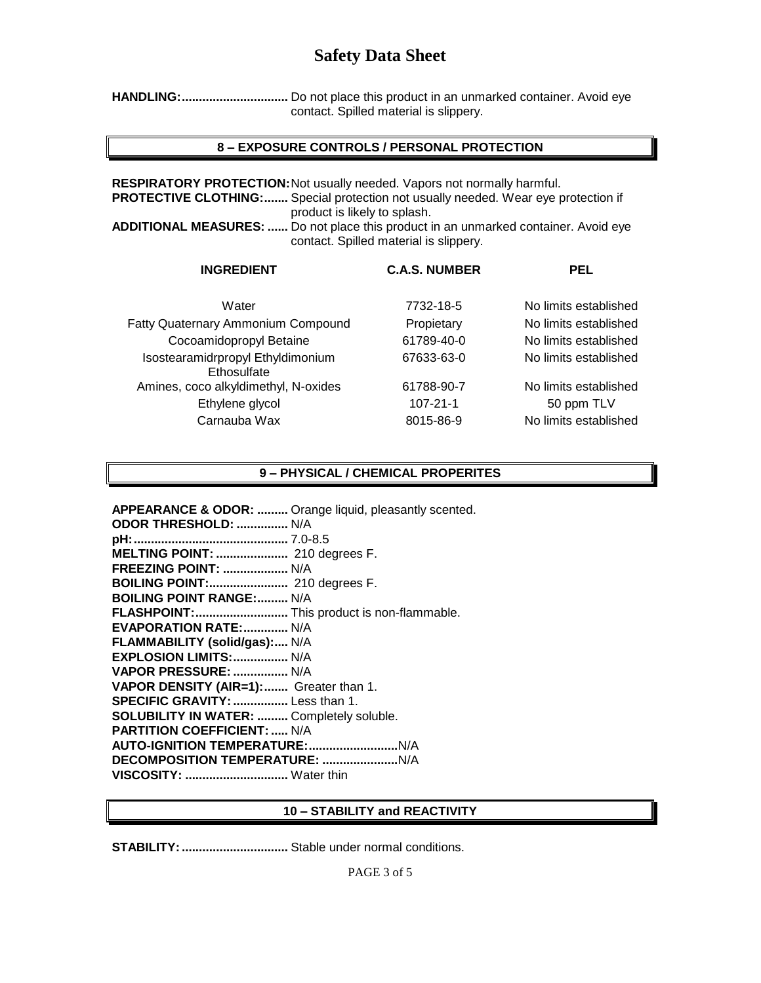**HANDLING:...............................** Do not place this product in an unmarked container. Avoid eye contact. Spilled material is slippery.

## **8 – EXPOSURE CONTROLS / PERSONAL PROTECTION**

**RESPIRATORY PROTECTION:**Not usually needed. Vapors not normally harmful. **PROTECTIVE CLOTHING:.......** Special protection not usually needed. Wear eye protection if product is likely to splash.

**ADDITIONAL MEASURES: ......** Do not place this product in an unmarked container. Avoid eye contact. Spilled material is slippery.

| <b>INGREDIENT</b>                                | <b>C.A.S. NUMBER</b> | <b>PEL</b>            |
|--------------------------------------------------|----------------------|-----------------------|
| Water                                            | 7732-18-5            | No limits established |
| <b>Fatty Quaternary Ammonium Compound</b>        | Propietary           | No limits established |
| Cocoamidopropyl Betaine                          | 61789-40-0           | No limits established |
| Isostearamidrpropyl Ethyldimonium<br>Ethosulfate | 67633-63-0           | No limits established |
| Amines, coco alkyldimethyl, N-oxides             | 61788-90-7           | No limits established |
| Ethylene glycol                                  | $107 - 21 - 1$       | 50 ppm TLV            |
| Carnauba Wax                                     | 8015-86-9            | No limits established |
|                                                  |                      |                       |

## **9 – PHYSICAL / CHEMICAL PROPERITES**

| APPEARANCE & ODOR:  Orange liquid, pleasantly scented. |
|--------------------------------------------------------|
| ODOR THRESHOLD:  N/A                                   |
|                                                        |
| MELTING POINT:  210 degrees F.                         |
| <b>FREEZING POINT:  N/A</b>                            |
| BOILING POINT: 210 degrees F.                          |
| <b>BOILING POINT RANGE: N/A</b>                        |
| FLASHPOINT: This product is non-flammable.             |
| <b>EVAPORATION RATE: N/A</b>                           |
| FLAMMABILITY (solid/gas): N/A                          |
| EXPLOSION LIMITS:  N/A                                 |
| VAPOR PRESSURE:  N/A                                   |
| VAPOR DENSITY (AIR=1): Greater than 1.                 |
| <b>SPECIFIC GRAVITY: </b> Less than 1.                 |
| <b>SOLUBILITY IN WATER:  Completely soluble.</b>       |
| <b>PARTITION COEFFICIENT:  N/A</b>                     |
|                                                        |
|                                                        |
| VISCOSITY:  Water thin                                 |

#### **10 – STABILITY and REACTIVITY**

**STABILITY:...............................** Stable under normal conditions.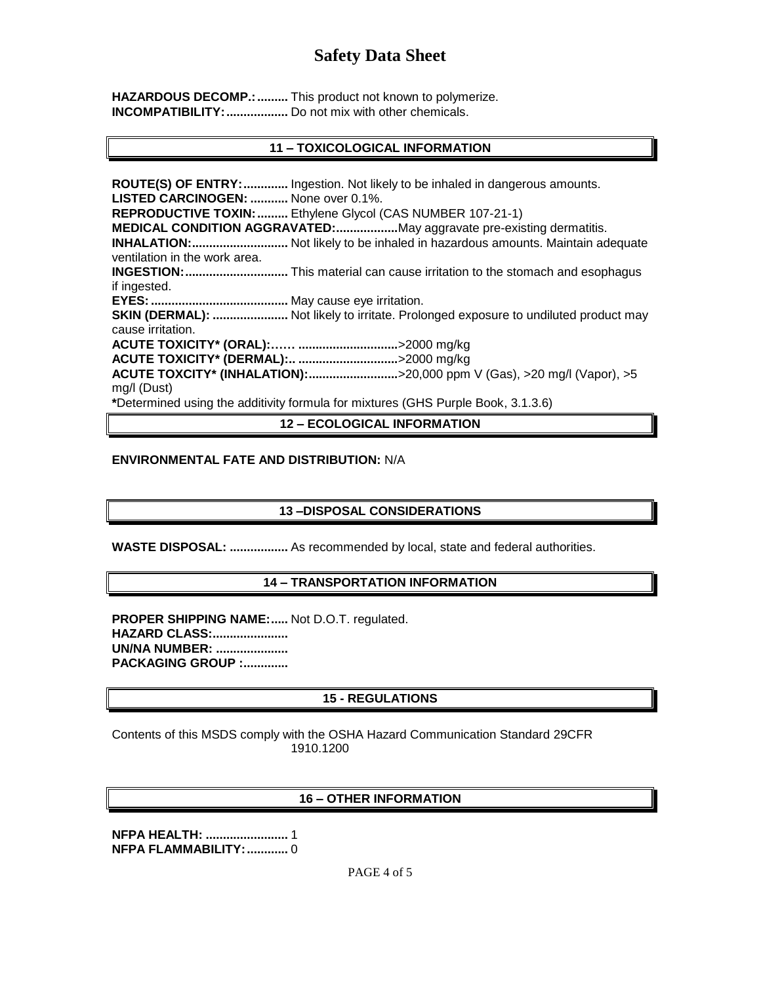HAZARDOUS DECOMP.: .......... This product not known to polymerize. **INCOMPATIBILITY: ..................** Do not mix with other chemicals.

## **11 – TOXICOLOGICAL INFORMATION**

**ROUTE(S) OF ENTRY:.............** Ingestion. Not likely to be inhaled in dangerous amounts. **LISTED CARCINOGEN: ...........** None over 0.1%. **REPRODUCTIVE TOXIN:.........** Ethylene Glycol (CAS NUMBER 107-21-1) **MEDICAL CONDITION AGGRAVATED:..................**May aggravate pre-existing dermatitis. **INHALATION:............................** Not likely to be inhaled in hazardous amounts. Maintain adequate ventilation in the work area. **INGESTION:..............................** This material can cause irritation to the stomach and esophagus if ingested. **EYES:........................................** May cause eye irritation. **SKIN (DERMAL): ......................** Not likely to irritate. Prolonged exposure to undiluted product may cause irritation. **ACUTE TOXICITY\* (ORAL):…… .............................**>2000 mg/kg **ACUTE TOXICITY\* (DERMAL):.. .............................**>2000 mg/kg **ACUTE TOXCITY\* (INHALATION):..........................**>20,000 ppm V (Gas), >20 mg/l (Vapor), >5 mg/l (Dust) **\***Determined using the additivity formula for mixtures (GHS Purple Book, 3.1.3.6)

# **12 – ECOLOGICAL INFORMATION**

#### **ENVIRONMENTAL FATE AND DISTRIBUTION:** N/A

### **13 –DISPOSAL CONSIDERATIONS**

**WASTE DISPOSAL: .................** As recommended by local, state and federal authorities.

### **14 – TRANSPORTATION INFORMATION**

**PROPER SHIPPING NAME:.....** Not D.O.T. regulated. **HAZARD CLASS:...................... UN/NA NUMBER: ..................... PACKAGING GROUP :.............**

# **15 - REGULATIONS**

Contents of this MSDS comply with the OSHA Hazard Communication Standard 29CFR 1910.1200

# **16 – OTHER INFORMATION**

**NFPA HEALTH: ........................** 1 **NFPA FLAMMABILITY:............** 0